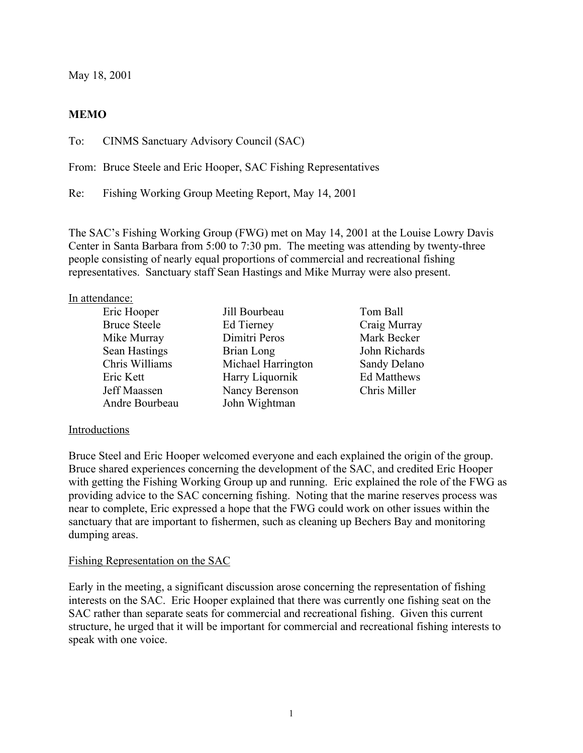May 18, 2001

# **MEMO**

To: CINMS Sanctuary Advisory Council (SAC)

From: Bruce Steele and Eric Hooper, SAC Fishing Representatives

Re: Fishing Working Group Meeting Report, May 14, 2001

The SAC's Fishing Working Group (FWG) met on May 14, 2001 at the Louise Lowry Davis Center in Santa Barbara from 5:00 to 7:30 pm. The meeting was attending by twenty-three people consisting of nearly equal proportions of commercial and recreational fishing representatives. Sanctuary staff Sean Hastings and Mike Murray were also present.

#### In attendance:

| Eric Hooper         | Jill Bourbeau      | Tom Ball           |
|---------------------|--------------------|--------------------|
| <b>Bruce Steele</b> | Ed Tierney         | Craig Murray       |
| Mike Murray         | Dimitri Peros      | Mark Becker        |
| Sean Hastings       | Brian Long         | John Richards      |
| Chris Williams      | Michael Harrington | Sandy Delano       |
| Eric Kett           | Harry Liquornik    | <b>Ed Matthews</b> |
| Jeff Maassen        | Nancy Berenson     | Chris Miller       |
| Andre Bourbeau      | John Wightman      |                    |
|                     |                    |                    |

#### Introductions

Bruce Steel and Eric Hooper welcomed everyone and each explained the origin of the group. Bruce shared experiences concerning the development of the SAC, and credited Eric Hooper with getting the Fishing Working Group up and running. Eric explained the role of the FWG as providing advice to the SAC concerning fishing. Noting that the marine reserves process was near to complete, Eric expressed a hope that the FWG could work on other issues within the sanctuary that are important to fishermen, such as cleaning up Bechers Bay and monitoring dumping areas.

#### Fishing Representation on the SAC

Early in the meeting, a significant discussion arose concerning the representation of fishing interests on the SAC. Eric Hooper explained that there was currently one fishing seat on the SAC rather than separate seats for commercial and recreational fishing. Given this current structure, he urged that it will be important for commercial and recreational fishing interests to speak with one voice.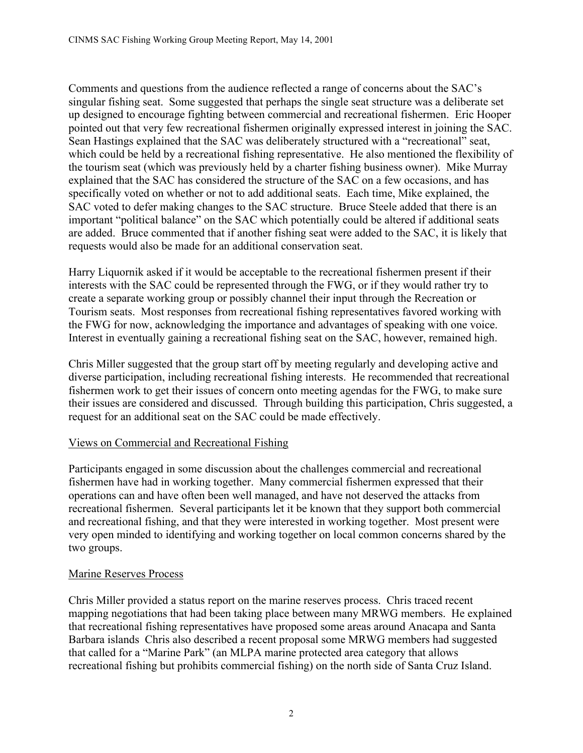Comments and questions from the audience reflected a range of concerns about the SAC's singular fishing seat. Some suggested that perhaps the single seat structure was a deliberate set up designed to encourage fighting between commercial and recreational fishermen. Eric Hooper pointed out that very few recreational fishermen originally expressed interest in joining the SAC. Sean Hastings explained that the SAC was deliberately structured with a "recreational" seat, which could be held by a recreational fishing representative. He also mentioned the flexibility of the tourism seat (which was previously held by a charter fishing business owner). Mike Murray explained that the SAC has considered the structure of the SAC on a few occasions, and has specifically voted on whether or not to add additional seats. Each time, Mike explained, the SAC voted to defer making changes to the SAC structure. Bruce Steele added that there is an important "political balance" on the SAC which potentially could be altered if additional seats are added. Bruce commented that if another fishing seat were added to the SAC, it is likely that requests would also be made for an additional conservation seat.

Harry Liquornik asked if it would be acceptable to the recreational fishermen present if their interests with the SAC could be represented through the FWG, or if they would rather try to create a separate working group or possibly channel their input through the Recreation or Tourism seats. Most responses from recreational fishing representatives favored working with the FWG for now, acknowledging the importance and advantages of speaking with one voice. Interest in eventually gaining a recreational fishing seat on the SAC, however, remained high.

Chris Miller suggested that the group start off by meeting regularly and developing active and diverse participation, including recreational fishing interests. He recommended that recreational fishermen work to get their issues of concern onto meeting agendas for the FWG, to make sure their issues are considered and discussed. Through building this participation, Chris suggested, a request for an additional seat on the SAC could be made effectively.

# Views on Commercial and Recreational Fishing

Participants engaged in some discussion about the challenges commercial and recreational fishermen have had in working together. Many commercial fishermen expressed that their operations can and have often been well managed, and have not deserved the attacks from recreational fishermen. Several participants let it be known that they support both commercial and recreational fishing, and that they were interested in working together. Most present were very open minded to identifying and working together on local common concerns shared by the two groups.

# Marine Reserves Process

Chris Miller provided a status report on the marine reserves process. Chris traced recent mapping negotiations that had been taking place between many MRWG members. He explained that recreational fishing representatives have proposed some areas around Anacapa and Santa Barbara islands Chris also described a recent proposal some MRWG members had suggested that called for a "Marine Park" (an MLPA marine protected area category that allows recreational fishing but prohibits commercial fishing) on the north side of Santa Cruz Island.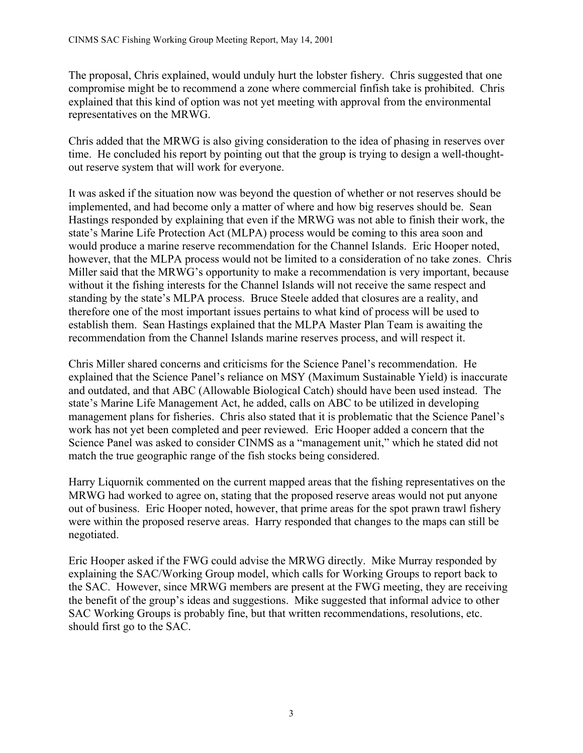The proposal, Chris explained, would unduly hurt the lobster fishery. Chris suggested that one compromise might be to recommend a zone where commercial finfish take is prohibited. Chris explained that this kind of option was not yet meeting with approval from the environmental representatives on the MRWG.

Chris added that the MRWG is also giving consideration to the idea of phasing in reserves over time. He concluded his report by pointing out that the group is trying to design a well-thoughtout reserve system that will work for everyone.

It was asked if the situation now was beyond the question of whether or not reserves should be implemented, and had become only a matter of where and how big reserves should be. Sean Hastings responded by explaining that even if the MRWG was not able to finish their work, the state's Marine Life Protection Act (MLPA) process would be coming to this area soon and would produce a marine reserve recommendation for the Channel Islands. Eric Hooper noted, however, that the MLPA process would not be limited to a consideration of no take zones. Chris Miller said that the MRWG's opportunity to make a recommendation is very important, because without it the fishing interests for the Channel Islands will not receive the same respect and standing by the state's MLPA process. Bruce Steele added that closures are a reality, and therefore one of the most important issues pertains to what kind of process will be used to establish them. Sean Hastings explained that the MLPA Master Plan Team is awaiting the recommendation from the Channel Islands marine reserves process, and will respect it.

Chris Miller shared concerns and criticisms for the Science Panel's recommendation. He explained that the Science Panel's reliance on MSY (Maximum Sustainable Yield) is inaccurate and outdated, and that ABC (Allowable Biological Catch) should have been used instead. The state's Marine Life Management Act, he added, calls on ABC to be utilized in developing management plans for fisheries. Chris also stated that it is problematic that the Science Panel's work has not yet been completed and peer reviewed. Eric Hooper added a concern that the Science Panel was asked to consider CINMS as a "management unit," which he stated did not match the true geographic range of the fish stocks being considered.

Harry Liquornik commented on the current mapped areas that the fishing representatives on the MRWG had worked to agree on, stating that the proposed reserve areas would not put anyone out of business. Eric Hooper noted, however, that prime areas for the spot prawn trawl fishery were within the proposed reserve areas. Harry responded that changes to the maps can still be negotiated.

Eric Hooper asked if the FWG could advise the MRWG directly. Mike Murray responded by explaining the SAC/Working Group model, which calls for Working Groups to report back to the SAC. However, since MRWG members are present at the FWG meeting, they are receiving the benefit of the group's ideas and suggestions. Mike suggested that informal advice to other SAC Working Groups is probably fine, but that written recommendations, resolutions, etc. should first go to the SAC.